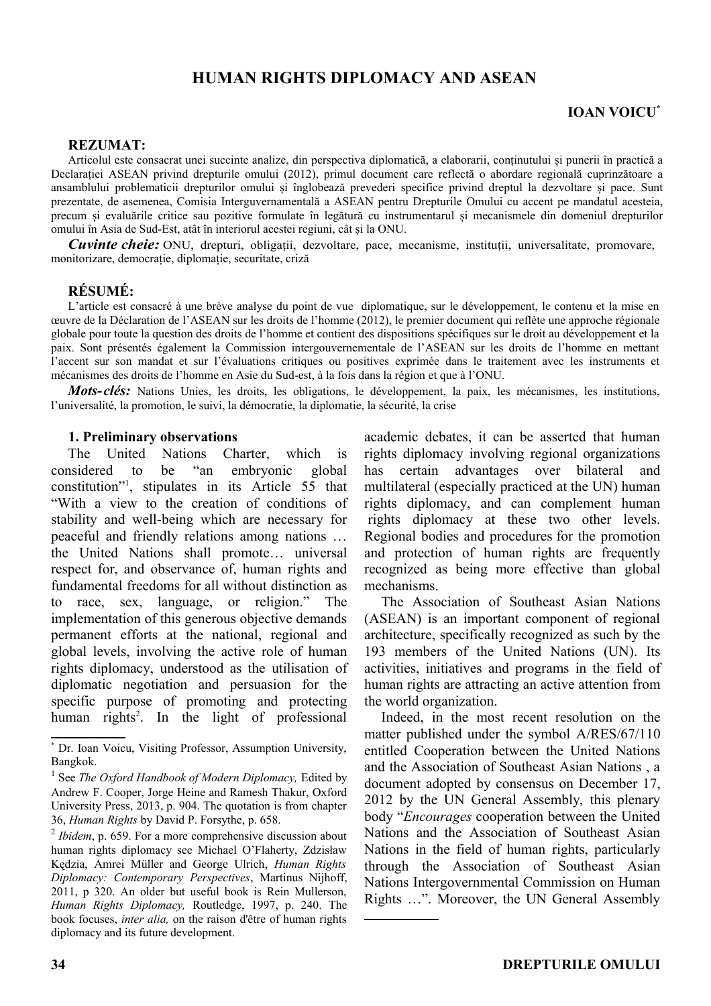# **HUMAN RIGHTS DIPLOMACY AND ASEAN**

### **REZUMAT:**

Articolul este consacrat unei succinte analize, din perspectiva diplomatică, a elaborarii, conținutului și punerii în practică a Declarației ASEAN privind drepturile omului (2012), primul document care reflectă o abordare regională cuprinzătoare a ansamblului problematicii drepturilor omului și înglobează prevederi specifice privind dreptul la dezvoltare și pace. Sunt prezentate, de asemenea, Comisia Interguvernamentală a ASEAN pentru Drepturile Omului cu accent pe mandatul acesteia, precum și evaluările critice sau pozitive formulate în legătură cu instrumentarul și mecanismele din domeniul drepturilor omului în Asia de Sud-Est, atât în interiorul acestei regiuni, cât și la ONU.

*Cuvinte cheie:* ONU, drepturi, obligații, dezvoltare, pace, mecanisme, instituții, universalitate, promovare, monitorizare, democrație, diplomație, securitate, criză

### **RÉSUMÉ:**

L'article est consacré à une brève analyse du point de vue diplomatique, sur le développement, le contenu et la mise en œuvre de la Déclaration de l'ASEAN sur les droits de l'homme (2012), le premier document qui reflète une approche régionale globale pour toute la question des droits de l'homme et contient des dispositions spécifiques sur le droit au développement et la paix. Sont présentés également la Commission intergouvernementale de l'ASEAN sur les droits de l'homme en mettant l'accent sur son mandat et sur l'évaluations critiques ou positives exprimée dans le traitement avec les instruments et mécanismes des droits de l'homme en Asie du Sud-est, à la fois dans la région et que à l'ONU.

*Mots-clés:* Nations Unies, les droits, les obligations, le développement, la paix, les mécanismes, les institutions, l'universalité, la promotion, le suivi, la démocratie, la diplomatie, la sécurité, la crise

### \***[1](#page-0-0). Preliminary observations**

The United Nations Charter, which is considered to be "an embryonic global constitution"[1](#page-0-1) , stipulates in its Article 55 that "With a view to the creation of conditions of stability and well-being which are necessary for peaceful and friendly relations among nations … the United Nations shall promote… universal respect for, and observance of, human rights and fundamental freedoms for all without distinction as to race, sex, language, or religion." The implementation of this generous objective demands permanent efforts at the national, regional and global levels, involving the active role of human rights diplomacy, understood as the utilisation of diplomatic negotiation and persuasion for the specific purpose of promoting and protecting human rights<sup>[2](#page-0-2)</sup>. In the light of professional

academic debates, it can be asserted that human rights diplomacy involving regional organizations has certain advantages over bilateral and multilateral (especially practiced at the UN) human rights diplomacy, and can complement human rights diplomacy at these two other levels. Regional bodies and procedures for the promotion and protection of human rights are frequently recognized as being more effective than global mechanisms.

The Association of Southeast Asian Nations (ASEAN) is an important component of regional architecture, specifically recognized as such by the 193 members of the United Nations (UN). Its activities, initiatives and programs in the field of human rights are attracting an active attention from the world organization.

Indeed, in the most recent resolution on the matter published under the symbol A/RES/67/110 entitled Cooperation between the United Nations and the Association of Southeast Asian Nations , a document adopted by consensus on December 17, 2012 by the UN General Assembly, this plenary body "*Encourages* cooperation between the United Nations and the Association of Southeast Asian Nations in the field of human rights, particularly through the Association of Southeast Asian Nations Intergovernmental Commission on Human Rights …". Moreover, the UN General Assembly

<span id="page-0-0"></span><sup>\*</sup> Dr. Ioan Voicu, Visiting Professor, Assumption University, Bangkok.

<span id="page-0-1"></span><sup>&</sup>lt;sup>1</sup> See *The Oxford Handbook of Modern Diplomacy*, Edited by Andrew F. Cooper, Jorge Heine and Ramesh Thakur, Oxford University Press, 2013, p. 904. The quotation is from chapter 36, *Human Rights* by David P. Forsythe, p. 658.

<span id="page-0-2"></span><sup>&</sup>lt;sup>2</sup> *Ibidem*, p. 659. For a more comprehensive discussion about human rights diplomacy see Michael O'Flaherty, Zdzisław Kędzia, Amrei Müller and George Ulrich, *Human Rights Diplomacy: Contemporary Perspectives*, Martinus Nijhoff, 2011, p 320. An older but useful book is Rein Mullerson, *Human Rights Diplomacy,* Routledge, 1997, p. 240. The book focuses, *inter alia,* on the raison d'être of human rights diplomacy and its future development.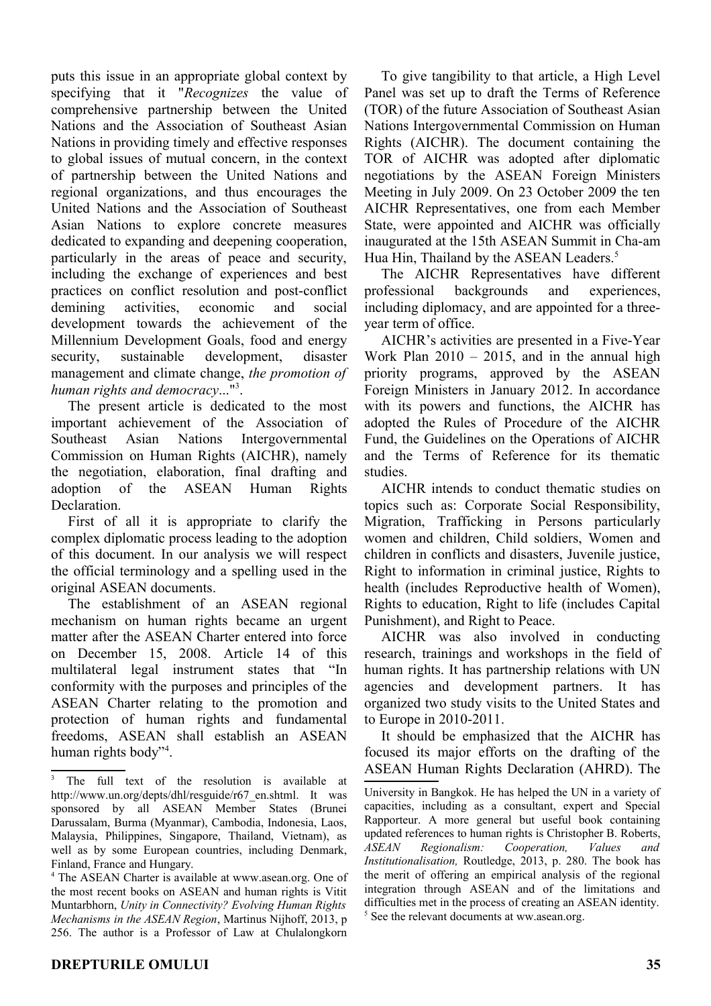puts this issue in an appropriate global context by specifying that it "*Recognizes* the value of comprehensive partnership between the United Nations and the Association of Southeast Asian Nations in providing timely and effective responses to global issues of mutual concern, in the context of partnership between the United Nations and regional organizations, and thus encourages the United Nations and the Association of Southeast Asian Nations to explore concrete measures dedicated to expanding and deepening cooperation, particularly in the areas of peace and security, including the exchange of experiences and best practices on conflict resolution and post-conflict demining activities, economic and social development towards the achievement of the Millennium Development Goals, food and energy security, sustainable development, disaster management and climate change, *the promotion of human rights and democracy*..."[3](#page-1-0) .

The present article is dedicated to the most important achievement of the Association of Southeast Asian Nations Intergovernmental Commission on Human Rights (AICHR), namely the negotiation, elaboration, final drafting and adoption of the ASEAN Human Rights Declaration.

First of all it is appropriate to clarify the complex diplomatic process leading to the adoption of this document. In our analysis we will respect the official terminology and a spelling used in the original ASEAN documents.

The establishment of an ASEAN regional mechanism on human rights became an urgent matter after the ASEAN Charter entered into force on December 15, 2008. Article 14 of this multilateral legal instrument states that "In conformity with the purposes and principles of the ASEAN Charter relating to the promotion and protection of human rights and fundamental freedoms, ASEAN shall establish an ASEAN human rights body"<sup>[4](#page-1-1)</sup>.

To give tangibility to that article, a High Level Panel was set up to draft the Terms of Reference (TOR) of the future Association of Southeast Asian Nations Intergovernmental Commission on Human Rights (AICHR). The document containing the TOR of AICHR was adopted after diplomatic negotiations by the ASEAN Foreign Ministers Meeting in July 2009. On 23 October 2009 the ten AICHR Representatives, one from each Member State, were appointed and AICHR was officially inaugurated at the 15th ASEAN Summit in Cha-am Hua Hin, Thailand by the ASEAN Leaders.<sup>[5](#page-1-2)</sup>

The AICHR Representatives have different professional backgrounds and experiences, including diplomacy, and are appointed for a threeyear term of office.

AICHR's activities are presented in a Five-Year Work Plan  $2010 - 2015$ , and in the annual high priority programs, approved by the ASEAN Foreign Ministers in January 2012. In accordance with its powers and functions, the AICHR has adopted the Rules of Procedure of the AICHR Fund, the Guidelines on the Operations of AICHR and the Terms of Reference for its thematic studies.

AICHR intends to conduct thematic studies on topics such as: Corporate Social Responsibility, Migration, Trafficking in Persons particularly women and children, Child soldiers, Women and children in conflicts and disasters, Juvenile justice, Right to information in criminal justice, Rights to health (includes Reproductive health of Women), Rights to education, Right to life (includes Capital Punishment), and Right to Peace.

AICHR was also involved in conducting research, trainings and workshops in the field of human rights. It has partnership relations with UN agencies and development partners. It has organized two study visits to the United States and to Europe in 2010-2011.

It should be emphasized that the AICHR has focused its major efforts on the drafting of the ASEAN Human Rights Declaration (AHRD). The

<span id="page-1-0"></span><sup>3</sup> The full text of the resolution is available at http://www.un.org/depts/dhl/resguide/r67\_en.shtml. It was sponsored by all ASEAN Member States (Brunei Darussalam, Burma (Myanmar), Cambodia, Indonesia, Laos, Malaysia, Philippines, Singapore, Thailand, Vietnam), as well as by some European countries, including Denmark, Finland, France and Hungary.

<span id="page-1-1"></span><sup>4</sup> The ASEAN Charter is available at www.asean.org. One of the most recent books on ASEAN and human rights is Vitit Muntarbhorn, *Unity in Connectivity? Evolving Human Rights Mechanisms in the ASEAN Region*, Martinus Nijhoff, 2013, p 256. The author is a Professor of Law at Chulalongkorn

<span id="page-1-2"></span>University in Bangkok. He has helped the UN in a variety of capacities, including as a consultant, expert and Special Rapporteur. A more general but useful book containing updated references to human rights is Christopher B. Roberts, *ASEAN Regionalism: Cooperation, Values and Institutionalisation,* Routledge, 2013, p. 280. The book has the merit of offering an empirical analysis of the regional integration through ASEAN and of the limitations and difficulties met in the process of creating an ASEAN identity. <sup>5</sup> See the relevant documents at ww.asean.org.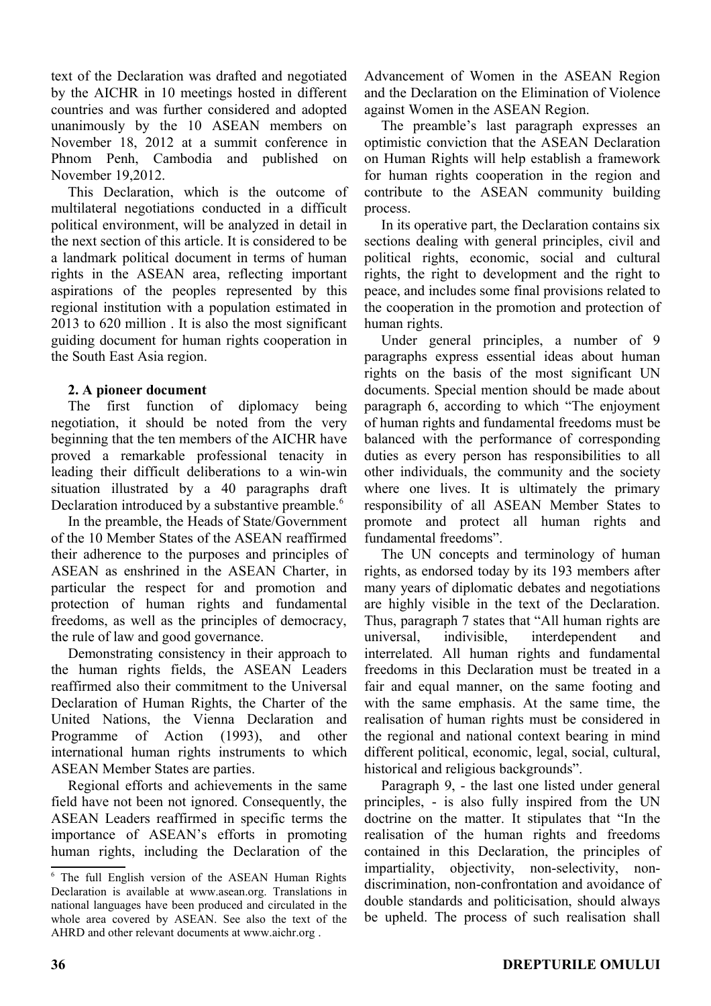text of the Declaration was drafted and negotiated by the AICHR in 10 meetings hosted in different countries and was further considered and adopted unanimously by the 10 ASEAN members on November 18, 2012 at a summit conference in Phnom Penh, Cambodia and published on November 19,2012.

This Declaration, which is the outcome of multilateral negotiations conducted in a difficult political environment, will be analyzed in detail in the next section of this article. It is considered to be a landmark political document in terms of human rights in the ASEAN area, reflecting important aspirations of the peoples represented by this regional institution with a population estimated in 2013 to 620 million . It is also the most significant guiding document for human rights cooperation in the South East Asia region.

# **2. A pioneer document**

The first function of diplomacy being negotiation, it should be noted from the very beginning that the ten members of the AICHR have proved a remarkable professional tenacity in leading their difficult deliberations to a win-win situation illustrated by a 40 paragraphs draft Declaration introduced by a substantive preamble.<sup>[6](#page-2-0)</sup>

In the preamble, the Heads of State/Government of the 10 Member States of the ASEAN reaffirmed their adherence to the purposes and principles of ASEAN as enshrined in the ASEAN Charter, in particular the respect for and promotion and protection of human rights and fundamental freedoms, as well as the principles of democracy, the rule of law and good governance.

Demonstrating consistency in their approach to the human rights fields, the ASEAN Leaders reaffirmed also their commitment to the Universal Declaration of Human Rights, the Charter of the United Nations, the Vienna Declaration and Programme of Action (1993), and other international human rights instruments to which ASEAN Member States are parties.

Regional efforts and achievements in the same field have not been not ignored. Consequently, the ASEAN Leaders reaffirmed in specific terms the importance of ASEAN's efforts in promoting human rights, including the Declaration of the Advancement of Women in the ASEAN Region and the Declaration on the Elimination of Violence against Women in the ASEAN Region.

The preamble's last paragraph expresses an optimistic conviction that the ASEAN Declaration on Human Rights will help establish a framework for human rights cooperation in the region and contribute to the ASEAN community building process.

In its operative part, the Declaration contains six sections dealing with general principles, civil and political rights, economic, social and cultural rights, the right to development and the right to peace, and includes some final provisions related to the cooperation in the promotion and protection of human rights.

Under general principles, a number of 9 paragraphs express essential ideas about human rights on the basis of the most significant UN documents. Special mention should be made about paragraph 6, according to which "The enjoyment of human rights and fundamental freedoms must be balanced with the performance of corresponding duties as every person has responsibilities to all other individuals, the community and the society where one lives. It is ultimately the primary responsibility of all ASEAN Member States to promote and protect all human rights and fundamental freedoms".

The UN concepts and terminology of human rights, as endorsed today by its 193 members after many years of diplomatic debates and negotiations are highly visible in the text of the Declaration. Thus, paragraph 7 states that "All human rights are universal, indivisible, interdependent and interrelated. All human rights and fundamental freedoms in this Declaration must be treated in a fair and equal manner, on the same footing and with the same emphasis. At the same time, the realisation of human rights must be considered in the regional and national context bearing in mind different political, economic, legal, social, cultural, historical and religious backgrounds".

Paragraph 9, - the last one listed under general principles, - is also fully inspired from the UN doctrine on the matter. It stipulates that "In the realisation of the human rights and freedoms contained in this Declaration, the principles of impartiality, objectivity, non-selectivity, nondiscrimination, non-confrontation and avoidance of double standards and politicisation, should always be upheld. The process of such realisation shall

<span id="page-2-0"></span><sup>6</sup> The full English version of the ASEAN Human Rights Declaration is available at www.asean.org. Translations in national languages have been produced and circulated in the whole area covered by ASEAN. See also the text of the AHRD and other relevant documents at www.aichr.org .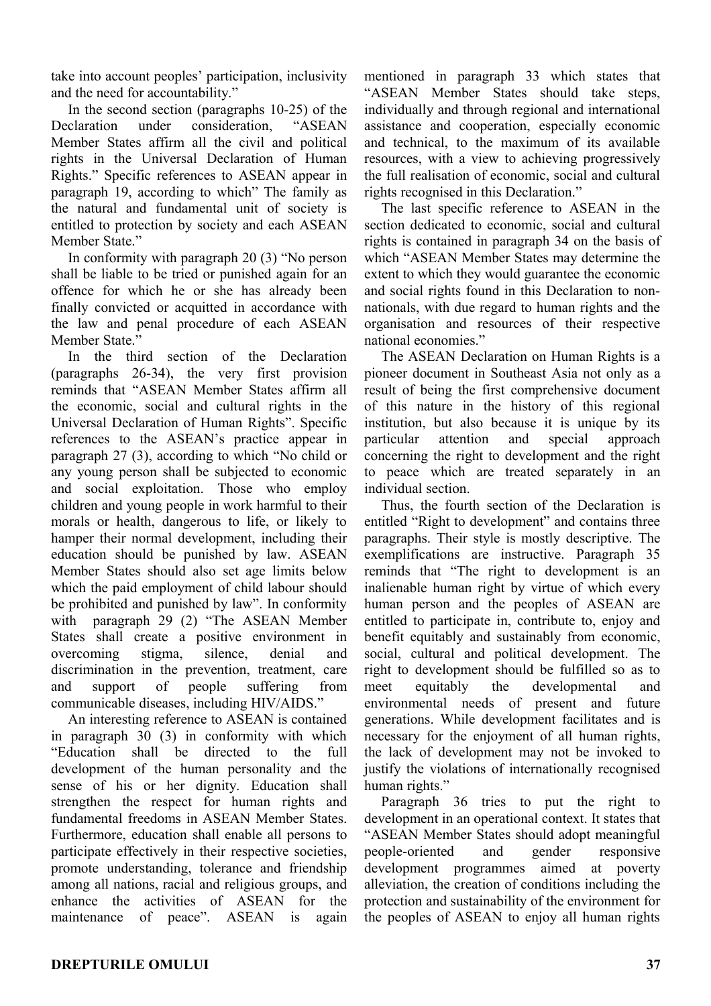take into account peoples' participation, inclusivity and the need for accountability."

In the second section (paragraphs 10-25) of the Declaration under consideration, "ASEAN Member States affirm all the civil and political rights in the Universal Declaration of Human Rights." Specific references to ASEAN appear in paragraph 19, according to which" The family as the natural and fundamental unit of society is entitled to protection by society and each ASEAN Member State."

In conformity with paragraph 20 (3) "No person shall be liable to be tried or punished again for an offence for which he or she has already been finally convicted or acquitted in accordance with the law and penal procedure of each ASEAN Member State."

In the third section of the Declaration (paragraphs 26-34), the very first provision reminds that "ASEAN Member States affirm all the economic, social and cultural rights in the Universal Declaration of Human Rights". Specific references to the ASEAN's practice appear in paragraph 27 (3), according to which "No child or any young person shall be subjected to economic and social exploitation. Those who employ children and young people in work harmful to their morals or health, dangerous to life, or likely to hamper their normal development, including their education should be punished by law. ASEAN Member States should also set age limits below which the paid employment of child labour should be prohibited and punished by law". In conformity with paragraph 29 (2) "The ASEAN Member States shall create a positive environment in overcoming stigma, silence, denial and discrimination in the prevention, treatment, care and support of people suffering from communicable diseases, including HIV/AIDS."

An interesting reference to ASEAN is contained in paragraph 30 (3) in conformity with which "Education shall be directed to the full development of the human personality and the sense of his or her dignity. Education shall strengthen the respect for human rights and fundamental freedoms in ASEAN Member States. Furthermore, education shall enable all persons to participate effectively in their respective societies, promote understanding, tolerance and friendship among all nations, racial and religious groups, and enhance the activities of ASEAN for the maintenance of peace". ASEAN is again

mentioned in paragraph 33 which states that "ASEAN Member States should take steps, individually and through regional and international assistance and cooperation, especially economic and technical, to the maximum of its available resources, with a view to achieving progressively the full realisation of economic, social and cultural rights recognised in this Declaration."

The last specific reference to ASEAN in the section dedicated to economic, social and cultural rights is contained in paragraph 34 on the basis of which "ASEAN Member States may determine the extent to which they would guarantee the economic and social rights found in this Declaration to nonnationals, with due regard to human rights and the organisation and resources of their respective national economies."

The ASEAN Declaration on Human Rights is a pioneer document in Southeast Asia not only as a result of being the first comprehensive document of this nature in the history of this regional institution, but also because it is unique by its particular attention and special approach concerning the right to development and the right to peace which are treated separately in an individual section.

Thus, the fourth section of the Declaration is entitled "Right to development" and contains three paragraphs. Their style is mostly descriptive. The exemplifications are instructive. Paragraph 35 reminds that "The right to development is an inalienable human right by virtue of which every human person and the peoples of ASEAN are entitled to participate in, contribute to, enjoy and benefit equitably and sustainably from economic, social, cultural and political development. The right to development should be fulfilled so as to meet equitably the developmental and environmental needs of present and future generations. While development facilitates and is necessary for the enjoyment of all human rights, the lack of development may not be invoked to justify the violations of internationally recognised human rights."

Paragraph 36 tries to put the right to development in an operational context. It states that "ASEAN Member States should adopt meaningful people-oriented and gender responsive development programmes aimed at poverty alleviation, the creation of conditions including the protection and sustainability of the environment for the peoples of ASEAN to enjoy all human rights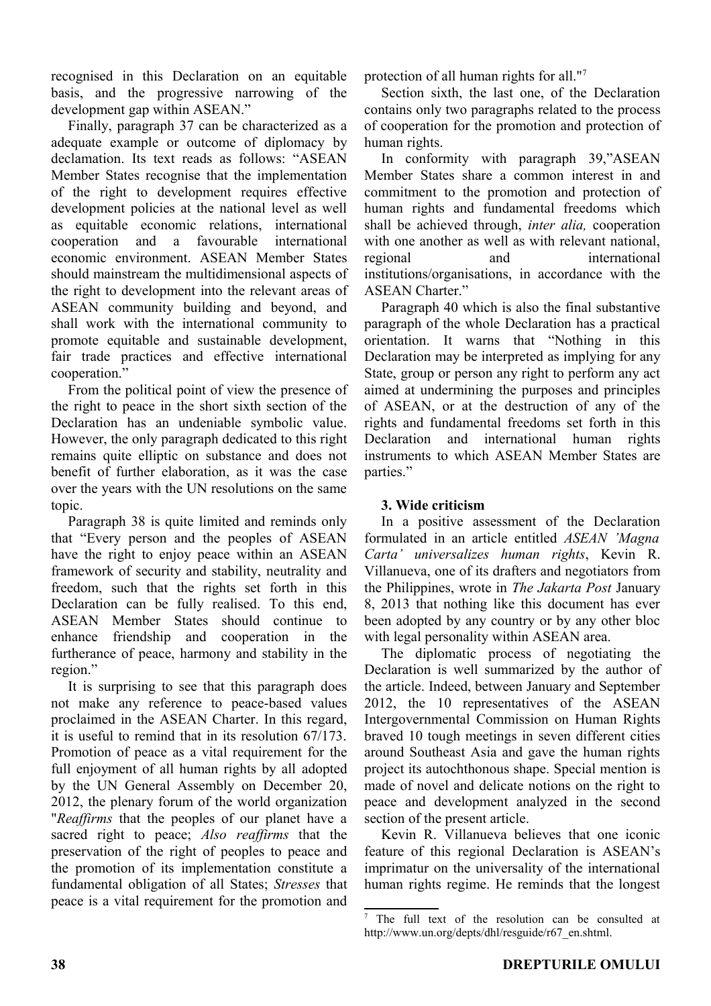recognised in this Declaration on an equitable basis, and the progressive narrowing of the development gap within ASEAN."

Finally, paragraph 37 can be characterized as a adequate example or outcome of diplomacy by declamation. Its text reads as follows: "ASEAN Member States recognise that the implementation of the right to development requires effective development policies at the national level as well as equitable economic relations, international cooperation and a favourable international economic environment. ASEAN Member States should mainstream the multidimensional aspects of the right to development into the relevant areas of ASEAN community building and beyond, and shall work with the international community to promote equitable and sustainable development, fair trade practices and effective international cooperation."

From the political point of view the presence of the right to peace in the short sixth section of the Declaration has an undeniable symbolic value. However, the only paragraph dedicated to this right remains quite elliptic on substance and does not benefit of further elaboration, as it was the case over the years with the UN resolutions on the same topic.

Paragraph 38 is quite limited and reminds only that "Every person and the peoples of ASEAN have the right to enjoy peace within an ASEAN framework of security and stability, neutrality and freedom, such that the rights set forth in this Declaration can be fully realised. To this end, ASEAN Member States should continue to enhance friendship and cooperation in the furtherance of peace, harmony and stability in the region."

It is surprising to see that this paragraph does not make any reference to peace-based values proclaimed in the ASEAN Charter. In this regard, it is useful to remind that in its resolution 67/173. Promotion of peace as a vital requirement for the full enjoyment of all human rights by all adopted by the UN General Assembly on December 20, 2012, the plenary forum of the world organization "*Reaffirms* that the peoples of our planet have a sacred right to peace; *Also reaffirms* that the preservation of the right of peoples to peace and the promotion of its implementation constitute a fundamental obligation of all States; *Stresses* that peace is a vital requirement for the promotion and protection of all human rights for all."[7](#page-4-0)

Section sixth, the last one, of the Declaration contains only two paragraphs related to the process of cooperation for the promotion and protection of human rights.

In conformity with paragraph 39,"ASEAN Member States share a common interest in and commitment to the promotion and protection of human rights and fundamental freedoms which shall be achieved through, *inter alia,* cooperation with one another as well as with relevant national, regional and international institutions/organisations, in accordance with the ASEAN Charter."

Paragraph 40 which is also the final substantive paragraph of the whole Declaration has a practical orientation. It warns that "Nothing in this Declaration may be interpreted as implying for any State, group or person any right to perform any act aimed at undermining the purposes and principles of ASEAN, or at the destruction of any of the rights and fundamental freedoms set forth in this Declaration and international human rights instruments to which ASEAN Member States are parties."

# **3. Wide criticism**

In a positive assessment of the Declaration formulated in an article entitled *ASEAN 'Magna Carta' universalizes human rights*, Kevin R. Villanueva, one of its drafters and negotiators from the Philippines, wrote in *The Jakarta Post* January 8, 2013 that nothing like this document has ever been adopted by any country or by any other bloc with legal personality within ASEAN area.

The diplomatic process of negotiating the Declaration is well summarized by the author of the article. Indeed, between January and September 2012, the 10 representatives of the ASEAN Intergovernmental Commission on Human Rights braved 10 tough meetings in seven different cities around Southeast Asia and gave the human rights project its autochthonous shape. Special mention is made of novel and delicate notions on the right to peace and development analyzed in the second section of the present article.

Kevin R. Villanueva believes that one iconic feature of this regional Declaration is ASEAN's imprimatur on the universality of the international human rights regime. He reminds that the longest

<span id="page-4-0"></span><sup>&</sup>lt;sup>7</sup> The full text of the resolution can be consulted at http://www.un.org/depts/dhl/resguide/r67\_en.shtml.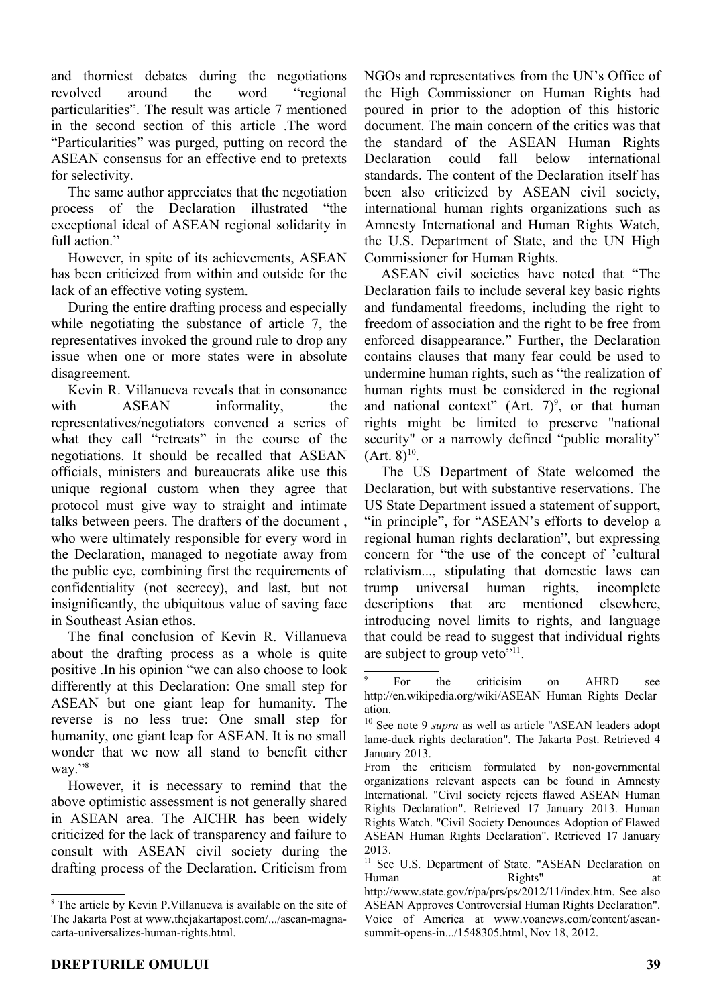and thorniest debates during the negotiations revolved around the word "regional particularities". The result was article 7 mentioned in the second section of this article .The word "Particularities" was purged, putting on record the ASEAN consensus for an effective end to pretexts for selectivity.

The same author appreciates that the negotiation process of the Declaration illustrated "the exceptional ideal of ASEAN regional solidarity in full action."

However, in spite of its achievements, ASEAN has been criticized from within and outside for the lack of an effective voting system.

During the entire drafting process and especially while negotiating the substance of article 7, the representatives invoked the ground rule to drop any issue when one or more states were in absolute disagreement.

Kevin R. Villanueva reveals that in consonance with ASEAN informality, the representatives/negotiators convened a series of what they call "retreats" in the course of the negotiations. It should be recalled that ASEAN officials, ministers and bureaucrats alike use this unique regional custom when they agree that protocol must give way to straight and intimate talks between peers. The drafters of the document , who were ultimately responsible for every word in the Declaration, managed to negotiate away from the public eye, combining first the requirements of confidentiality (not secrecy), and last, but not insignificantly, the ubiquitous value of saving face in Southeast Asian ethos.

The final conclusion of Kevin R. Villanueva about the drafting process as a whole is quite positive .In his opinion "we can also choose to look differently at this Declaration: One small step for ASEAN but one giant leap for humanity. The reverse is no less true: One small step for humanity, one giant leap for ASEAN. It is no small wonder that we now all stand to benefit either way."<sup>[8](#page-5-0)</sup>

However, it is necessary to remind that the above optimistic assessment is not generally shared in ASEAN area. The AICHR has been widely criticized for the lack of transparency and failure to consult with ASEAN civil society during the drafting process of the Declaration. Criticism from NGOs and representatives from the UN's Office of the High Commissioner on Human Rights had poured in prior to the adoption of this historic document. The main concern of the critics was that the standard of the ASEAN Human Rights Declaration could fall below international standards. The content of the Declaration itself has been also criticized by ASEAN civil society, international human rights organizations such as Amnesty International and Human Rights Watch, the U.S. Department of State, and the UN High Commissioner for Human Rights.

ASEAN civil societies have noted that "The Declaration fails to include several key basic rights and fundamental freedoms, including the right to freedom of association and the right to be free from enforced disappearance." Further, the Declaration contains clauses that many fear could be used to undermine human rights, such as "the realization of human rights must be considered in the regional and national context" (Art.  $7)^9$  $7)^9$ , or that human rights might be limited to preserve "national security" or a narrowly defined "public morality"  $(Art. 8)^{10}$  $(Art. 8)^{10}$  $(Art. 8)^{10}$ .

The US Department of State welcomed the Declaration, but with substantive reservations. The US State Department issued a statement of support, "in principle", for "ASEAN's efforts to develop a regional human rights declaration", but expressing concern for "the use of the concept of 'cultural relativism..., stipulating that domestic laws can trump universal human rights, incomplete descriptions that are mentioned elsewhere, introducing novel limits to rights, and language that could be read to suggest that individual rights are subject to group veto"<sup>[11](#page-5-3)</sup>.

<span id="page-5-0"></span><sup>&</sup>lt;sup>8</sup> The article by Kevin P.Villanueva is available on the site of The Jakarta Post at www.thejakartapost.com/.../asean-magnacarta-universalizes-human-rights.html.

<span id="page-5-1"></span><sup>9</sup> For the criticisim on AHRD see http://en.wikipedia.org/wiki/ASEAN\_Human\_Rights\_Declar ation.

<span id="page-5-2"></span><sup>10</sup> See note 9 *supra* as well as article "ASEAN leaders adopt lame-duck rights declaration". The Jakarta Post. Retrieved 4 January 2013.

From the criticism formulated by non-governmental organizations relevant aspects can be found in Amnesty International. "Civil society rejects flawed ASEAN Human Rights Declaration". Retrieved 17 January 2013. Human Rights Watch. "Civil Society Denounces Adoption of Flawed ASEAN Human Rights Declaration". Retrieved 17 January 2013.

<span id="page-5-3"></span><sup>&</sup>lt;sup>11</sup> See U.S. Department of State. "ASEAN Declaration on Human Rights" at

http://www.state.gov/r/pa/prs/ps/2012/11/index.htm. See also ASEAN Approves Controversial Human Rights Declaration". Voice of America at www.voanews.com/content/aseansummit-opens-in.../1548305.html, Nov 18, 2012.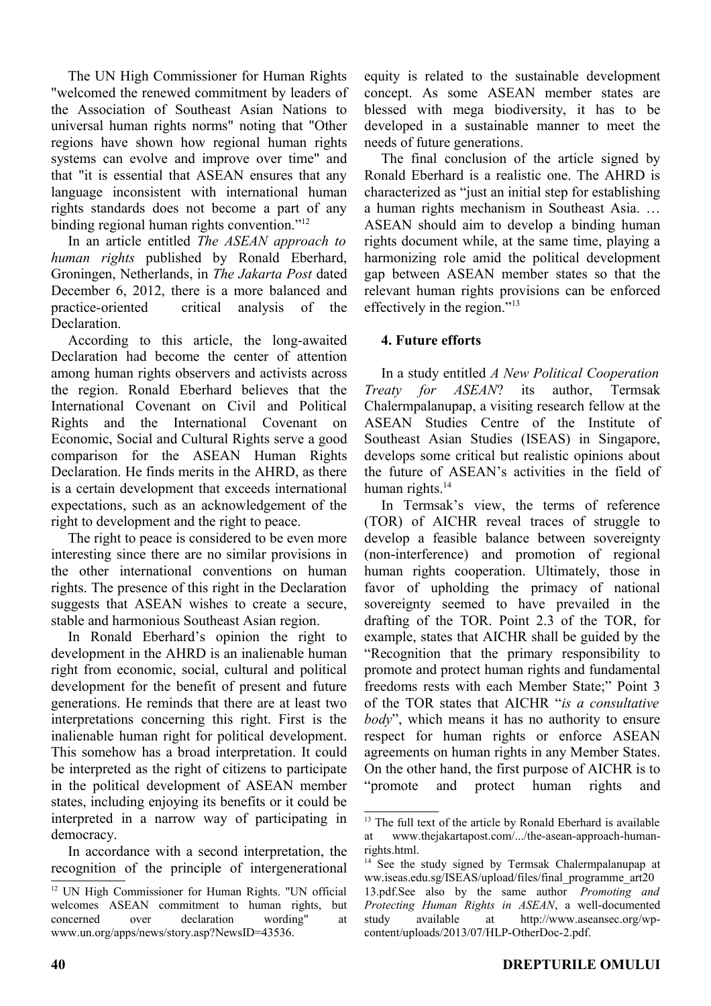The UN High Commissioner for Human Rights "welcomed the renewed commitment by leaders of the Association of Southeast Asian Nations to universal human rights norms" noting that "Other regions have shown how regional human rights systems can evolve and improve over time" and that "it is essential that ASEAN ensures that any language inconsistent with international human rights standards does not become a part of any binding regional human rights convention."<sup>[12](#page-6-0)</sup>

In an article entitled *The ASEAN approach to human rights* published by Ronald Eberhard, Groningen, Netherlands, in *The Jakarta Post* dated December 6, 2012, there is a more balanced and practice-oriented critical analysis of the Declaration.

According to this article, the long-awaited Declaration had become the center of attention among human rights observers and activists across the region. Ronald Eberhard believes that the International Covenant on Civil and Political Rights and the International Covenant on Economic, Social and Cultural Rights serve a good comparison for the ASEAN Human Rights Declaration. He finds merits in the AHRD, as there is a certain development that exceeds international expectations, such as an acknowledgement of the right to development and the right to peace.

The right to peace is considered to be even more interesting since there are no similar provisions in the other international conventions on human rights. The presence of this right in the Declaration suggests that ASEAN wishes to create a secure, stable and harmonious Southeast Asian region.

In Ronald Eberhard's opinion the right to development in the AHRD is an inalienable human right from economic, social, cultural and political development for the benefit of present and future generations. He reminds that there are at least two interpretations concerning this right. First is the inalienable human right for political development. This somehow has a broad interpretation. It could be interpreted as the right of citizens to participate in the political development of ASEAN member states, including enjoying its benefits or it could be interpreted in a narrow way of participating in democracy.

In accordance with a second interpretation, the recognition of the principle of intergenerational

equity is related to the sustainable development concept. As some ASEAN member states are blessed with mega biodiversity, it has to be developed in a sustainable manner to meet the needs of future generations.

The final conclusion of the article signed by Ronald Eberhard is a realistic one. The AHRD is characterized as "just an initial step for establishing a human rights mechanism in Southeast Asia. … ASEAN should aim to develop a binding human rights document while, at the same time, playing a harmonizing role amid the political development gap between ASEAN member states so that the relevant human rights provisions can be enforced effectively in the region."[13](#page-6-1)

# **4. Future efforts**

In a study entitled *A New Political Cooperation Treaty for ASEAN*? its author, Termsak Chalermpalanupap, a visiting research fellow at the ASEAN Studies Centre of the Institute of Southeast Asian Studies (ISEAS) in Singapore, develops some critical but realistic opinions about the future of ASEAN's activities in the field of human rights. $14$ 

In Termsak's view, the terms of reference (TOR) of AICHR reveal traces of struggle to develop a feasible balance between sovereignty (non-interference) and promotion of regional human rights cooperation. Ultimately, those in favor of upholding the primacy of national sovereignty seemed to have prevailed in the drafting of the TOR. Point 2.3 of the TOR, for example, states that AICHR shall be guided by the "Recognition that the primary responsibility to promote and protect human rights and fundamental freedoms rests with each Member State;" Point 3 of the TOR states that AICHR "*is a consultative body*", which means it has no authority to ensure respect for human rights or enforce ASEAN agreements on human rights in any Member States. On the other hand, the first purpose of AICHR is to "promote and protect human rights and

<span id="page-6-0"></span><sup>&</sup>lt;sup>12</sup> UN High Commissioner for Human Rights. "UN official welcomes ASEAN commitment to human rights, but concerned over declaration wording" at www.un.org/apps/news/story.asp?NewsID=43536.

<span id="page-6-1"></span><sup>&</sup>lt;sup>13</sup> The full text of the article by Ronald Eberhard is available at www.thejakartapost.com/.../the-asean-approach-humanrights.html.

<span id="page-6-2"></span><sup>&</sup>lt;sup>14</sup> See the study signed by Termsak Chalermpalanupap at ww.iseas.edu.sg/ISEAS/upload/files/final\_programme\_art20 13.pdf.See also by the same author *Promoting and Protecting Human Rights in ASEAN*, a well-documented study available at http://www.aseansec.org/wpcontent/uploads/2013/07/HLP-OtherDoc-2.pdf.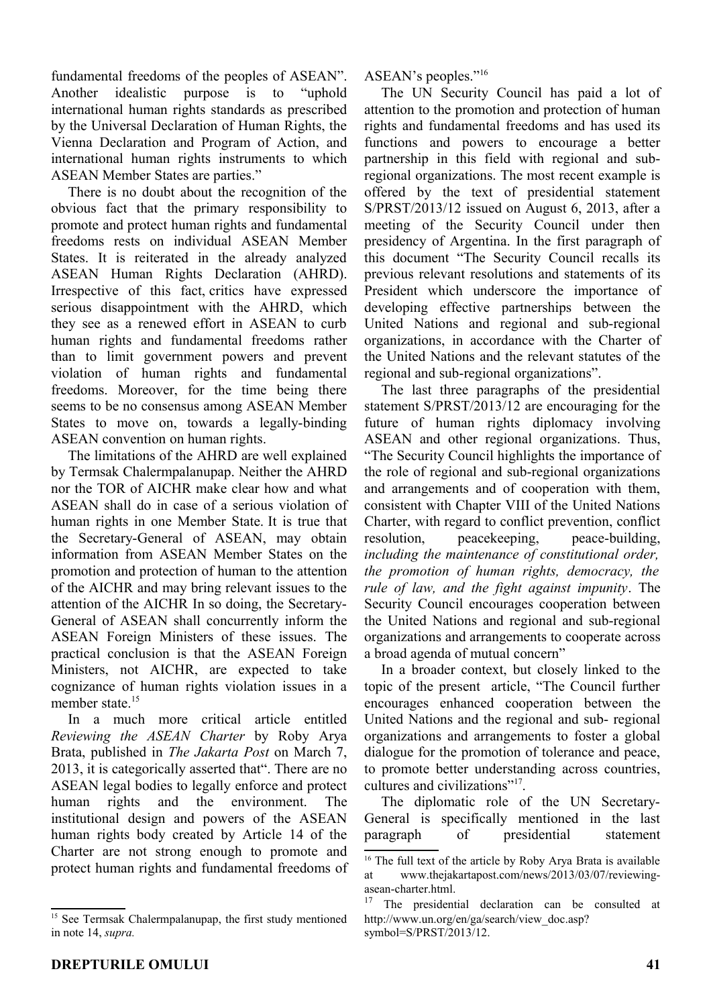fundamental freedoms of the peoples of ASEAN". Another idealistic purpose is to "uphold international human rights standards as prescribed by the Universal Declaration of Human Rights, the Vienna Declaration and Program of Action, and international human rights instruments to which ASEAN Member States are parties."

There is no doubt about the recognition of the obvious fact that the primary responsibility to promote and protect human rights and fundamental freedoms rests on individual ASEAN Member States. It is reiterated in the already analyzed ASEAN Human Rights Declaration (AHRD). Irrespective of this fact, critics have expressed serious disappointment with the AHRD, which they see as a renewed effort in ASEAN to curb human rights and fundamental freedoms rather than to limit government powers and prevent violation of human rights and fundamental freedoms. Moreover, for the time being there seems to be no consensus among ASEAN Member States to move on, towards a legally-binding ASEAN convention on human rights.

The limitations of the AHRD are well explained by Termsak Chalermpalanupap. Neither the AHRD nor the TOR of AICHR make clear how and what ASEAN shall do in case of a serious violation of human rights in one Member State. It is true that the Secretary-General of ASEAN, may obtain information from ASEAN Member States on the promotion and protection of human to the attention of the AICHR and may bring relevant issues to the attention of the AICHR In so doing, the Secretary-General of ASEAN shall concurrently inform the ASEAN Foreign Ministers of these issues. The practical conclusion is that the ASEAN Foreign Ministers, not AICHR, are expected to take cognizance of human rights violation issues in a member state.<sup>[15](#page-7-0)</sup>

In a much more critical article entitled *Reviewing the ASEAN Charter* by Roby Arya Brata, published in *The Jakarta Post* on March 7, 2013, it is categorically asserted that". There are no ASEAN legal bodies to legally enforce and protect human rights and the environment. The institutional design and powers of the ASEAN human rights body created by Article 14 of the Charter are not strong enough to promote and protect human rights and fundamental freedoms of ASEAN's peoples."[16](#page-7-1)

The UN Security Council has paid a lot of attention to the promotion and protection of human rights and fundamental freedoms and has used its functions and powers to encourage a better partnership in this field with regional and subregional organizations. The most recent example is offered by the text of presidential statement S/PRST/2013/12 issued on August 6, 2013, after a meeting of the Security Council under then presidency of Argentina. In the first paragraph of this document "The Security Council recalls its previous relevant resolutions and statements of its President which underscore the importance of developing effective partnerships between the United Nations and regional and sub-regional organizations, in accordance with the Charter of the United Nations and the relevant statutes of the regional and sub-regional organizations".

The last three paragraphs of the presidential statement S/PRST/2013/12 are encouraging for the future of human rights diplomacy involving ASEAN and other regional organizations. Thus, "The Security Council highlights the importance of the role of regional and sub-regional organizations and arrangements and of cooperation with them, consistent with Chapter VIII of the United Nations Charter, with regard to conflict prevention, conflict resolution, peacekeeping, peace-building, *including the maintenance of constitutional order, the promotion of human rights, democracy, the rule of law, and the fight against impunity*. The Security Council encourages cooperation between the United Nations and regional and sub-regional organizations and arrangements to cooperate across a broad agenda of mutual concern"

In a broader context, but closely linked to the topic of the present article, "The Council further encourages enhanced cooperation between the United Nations and the regional and sub- regional organizations and arrangements to foster a global dialogue for the promotion of tolerance and peace, to promote better understanding across countries, cultures and civilizations"<sup>[17](#page-7-2)</sup>.

The diplomatic role of the UN Secretary-General is specifically mentioned in the last paragraph of presidential statement

<span id="page-7-0"></span><sup>&</sup>lt;sup>15</sup> See Termsak Chalermpalanupap, the first study mentioned in note 14, *supra.*

<span id="page-7-1"></span><sup>&</sup>lt;sup>16</sup> The full text of the article by Roby Arya Brata is available at www.thejakartapost.com/news/2013/03/07/reviewingasean-charter.html.

<span id="page-7-2"></span> $17$  The presidential declaration can be consulted at http://www.un.org/en/ga/search/view\_doc.asp? symbol=S/PRST/2013/12.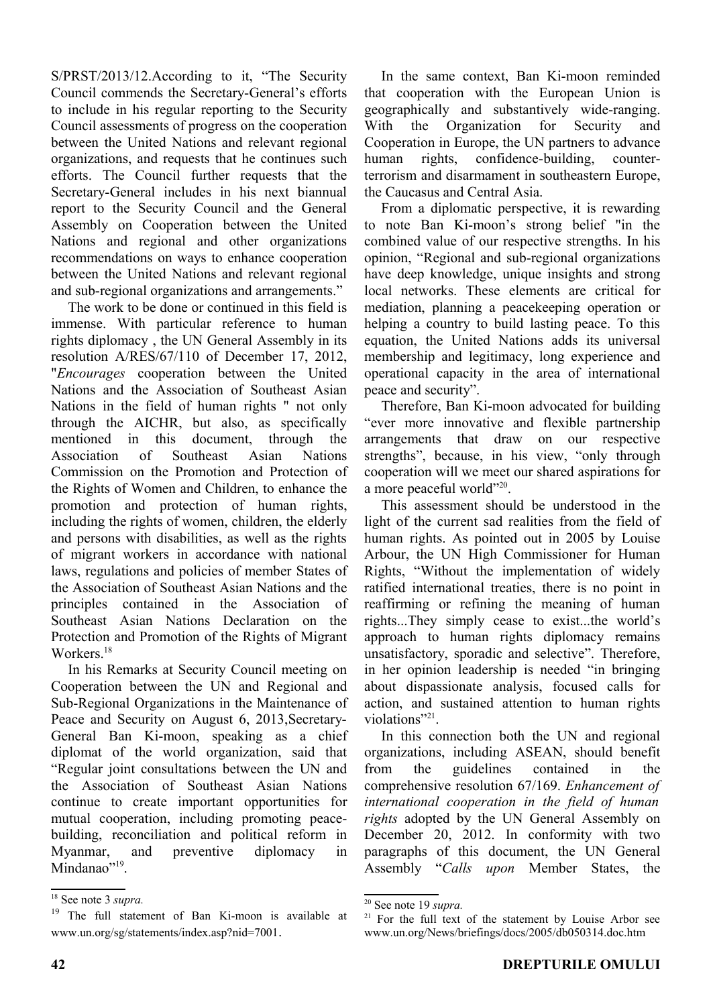S/PRST/2013/12.According to it, "The Security Council commends the Secretary-General's efforts to include in his regular reporting to the Security Council assessments of progress on the cooperation between the United Nations and relevant regional organizations, and requests that he continues such efforts. The Council further requests that the Secretary-General includes in his next biannual report to the Security Council and the General Assembly on Cooperation between the United Nations and regional and other organizations recommendations on ways to enhance cooperation between the United Nations and relevant regional and sub-regional organizations and arrangements."

The work to be done or continued in this field is immense. With particular reference to human rights diplomacy , the UN General Assembly in its resolution A/RES/67/110 of December 17, 2012, "*Encourages* cooperation between the United Nations and the Association of Southeast Asian Nations in the field of human rights " not only through the AICHR, but also, as specifically mentioned in this document, through the Association of Southeast Asian Nations Commission on the Promotion and Protection of the Rights of Women and Children, to enhance the promotion and protection of human rights, including the rights of women, children, the elderly and persons with disabilities, as well as the rights of migrant workers in accordance with national laws, regulations and policies of member States of the Association of Southeast Asian Nations and the principles contained in the Association of Southeast Asian Nations Declaration on the Protection and Promotion of the Rights of Migrant Workers.<sup>[18](#page-8-0)</sup>

In his Remarks at Security Council meeting on Cooperation between the UN and Regional and Sub-Regional Organizations in the Maintenance of Peace and Security on August 6, 2013, Secretary-General Ban Ki-moon, speaking as a chief diplomat of the world organization, said that "Regular joint consultations between the UN and the Association of Southeast Asian Nations continue to create important opportunities for mutual cooperation, including promoting peacebuilding, reconciliation and political reform in Myanmar, and preventive diplomacy in Mindanao"<sup>[19](#page-8-1)</sup>.

In the same context, Ban Ki-moon reminded that cooperation with the European Union is geographically and substantively wide-ranging. With the Organization for Security and Cooperation in Europe, the UN partners to advance human rights, confidence-building, counterterrorism and disarmament in southeastern Europe, the Caucasus and Central Asia.

From a diplomatic perspective, it is rewarding to note Ban Ki-moon's strong belief "in the combined value of our respective strengths. In his opinion, "Regional and sub-regional organizations have deep knowledge, unique insights and strong local networks. These elements are critical for mediation, planning a peacekeeping operation or helping a country to build lasting peace. To this equation, the United Nations adds its universal membership and legitimacy, long experience and operational capacity in the area of international peace and security".

Therefore, Ban Ki-moon advocated for building "ever more innovative and flexible partnership arrangements that draw on our respective strengths", because, in his view, "only through cooperation will we meet our shared aspirations for a more peaceful world"<sup>[20](#page-8-2)</sup>.

This assessment should be understood in the light of the current sad realities from the field of human rights. As pointed out in 2005 by Louise Arbour, the UN High Commissioner for Human Rights, "Without the implementation of widely ratified international treaties, there is no point in reaffirming or refining the meaning of human rights...They simply cease to exist...the world's approach to human rights diplomacy remains unsatisfactory, sporadic and selective". Therefore, in her opinion leadership is needed "in bringing about dispassionate analysis, focused calls for action, and sustained attention to human rights violations"<sup>[21](#page-8-3)</sup>.

In this connection both the UN and regional organizations, including ASEAN, should benefit from the guidelines contained in the comprehensive resolution 67/169. *Enhancement of international cooperation in the field of human rights* adopted by the UN General Assembly on December 20, 2012. In conformity with two paragraphs of this document, the UN General Assembly "*Calls upon* Member States, the

<span id="page-8-0"></span><sup>18</sup> See note 3 *supra.*

<span id="page-8-1"></span><sup>&</sup>lt;sup>19</sup> The full statement of Ban Ki-moon is available at www.un.org/sg/statements/index.asp?nid=7001.

<span id="page-8-2"></span><sup>20</sup> See note 19 *supra.*

<span id="page-8-3"></span> $21$  For the full text of the statement by Louise Arbor see www.un.org/News/briefings/docs/2005/db050314.doc.htm